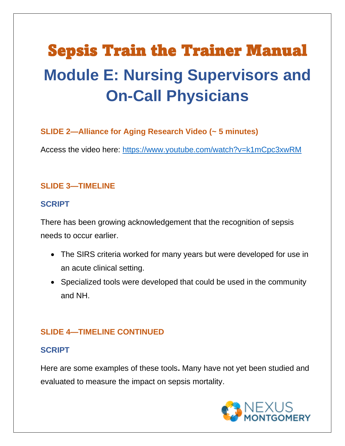# Sepsis Train the Trainer Manual **Module E: Nursing Supervisors and On-Call Physicians**

#### **SLIDE 2—Alliance for Aging Research Video (~ 5 minutes)**

Access the video here: [https://www.youtube.com/watch?v=k1mCpc3xwRM](about:blank)

#### **SLIDE 3—TIMELINE**

#### **SCRIPT**

There has been growing acknowledgement that the recognition of sepsis needs to occur earlier.

- The SIRS criteria worked for many years but were developed for use in an acute clinical setting.
- Specialized tools were developed that could be used in the community and NH.

#### **SLIDE 4—TIMELINE CONTINUED**

#### **SCRIPT**

Here are some examples of these tools**.** Many have not yet been studied and evaluated to measure the impact on sepsis mortality.

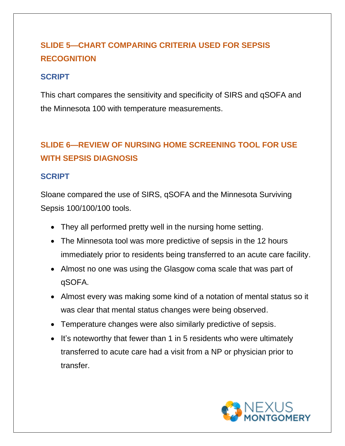### **SLIDE 5—CHART COMPARING CRITERIA USED FOR SEPSIS RECOGNITION**

#### **SCRIPT**

This chart compares the sensitivity and specificity of SIRS and qSOFA and the Minnesota 100 with temperature measurements.

### **SLIDE 6—REVIEW OF NURSING HOME SCREENING TOOL FOR USE WITH SEPSIS DIAGNOSIS**

#### **SCRIPT**

Sloane compared the use of SIRS, qSOFA and the Minnesota Surviving Sepsis 100/100/100 tools.

- They all performed pretty well in the nursing home setting.
- The Minnesota tool was more predictive of sepsis in the 12 hours immediately prior to residents being transferred to an acute care facility.
- Almost no one was using the Glasgow coma scale that was part of qSOFA.
- Almost every was making some kind of a notation of mental status so it was clear that mental status changes were being observed.
- Temperature changes were also similarly predictive of sepsis.
- It's noteworthy that fewer than 1 in 5 residents who were ultimately transferred to acute care had a visit from a NP or physician prior to transfer.

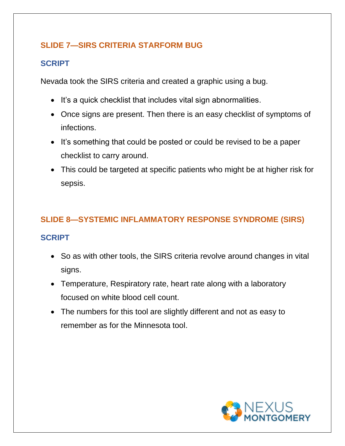#### **SLIDE 7—SIRS CRITERIA STARFORM BUG**

#### **SCRIPT**

Nevada took the SIRS criteria and created a graphic using a bug.

- It's a quick checklist that includes vital sign abnormalities.
- Once signs are present. Then there is an easy checklist of symptoms of infections.
- It's something that could be posted or could be revised to be a paper checklist to carry around.
- This could be targeted at specific patients who might be at higher risk for sepsis.

#### **SLIDE 8—SYSTEMIC INFLAMMATORY RESPONSE SYNDROME (SIRS)**

- So as with other tools, the SIRS criteria revolve around changes in vital signs.
- Temperature, Respiratory rate, heart rate along with a laboratory focused on white blood cell count.
- The numbers for this tool are slightly different and not as easy to remember as for the Minnesota tool.

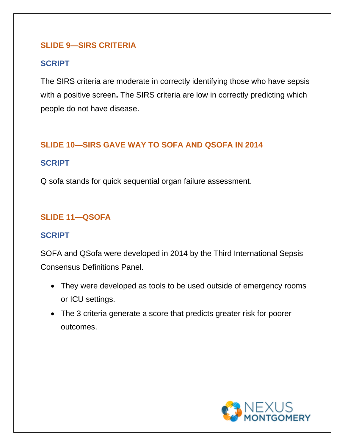#### **SLIDE 9—SIRS CRITERIA**

#### **SCRIPT**

The SIRS criteria are moderate in correctly identifying those who have sepsis with a positive screen**.** The SIRS criteria are low in correctly predicting which people do not have disease.

#### **SLIDE 10—SIRS GAVE WAY TO SOFA AND QSOFA IN 2014**

#### **SCRIPT**

Q sofa stands for quick sequential organ failure assessment.

#### **SLIDE 11—QSOFA**

#### **SCRIPT**

SOFA and QSofa were developed in 2014 by the Third International Sepsis Consensus Definitions Panel.

- They were developed as tools to be used outside of emergency rooms or ICU settings.
- The 3 criteria generate a score that predicts greater risk for poorer outcomes.

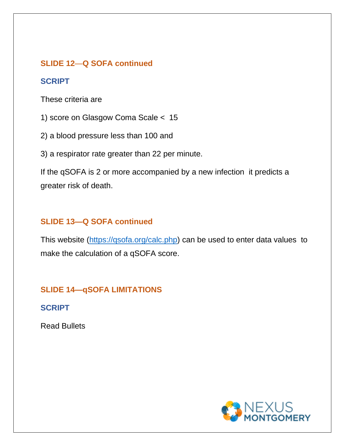#### **SLIDE 12**—**Q SOFA continued**

#### **SCRIPT**

These criteria are

1) score on Glasgow Coma Scale < 15

2) a blood pressure less than 100 and

3) a respirator rate greater than 22 per minute.

If the qSOFA is 2 or more accompanied by a new infection it predicts a greater risk of death.

#### **SLIDE 13—Q SOFA continued**

This website (https://gsofa.org/calc.php) can be used to enter data values to make the calculation of a qSOFA score.

#### **SLIDE 14—qSOFA LIMITATIONS**

**SCRIPT**

Read Bullets

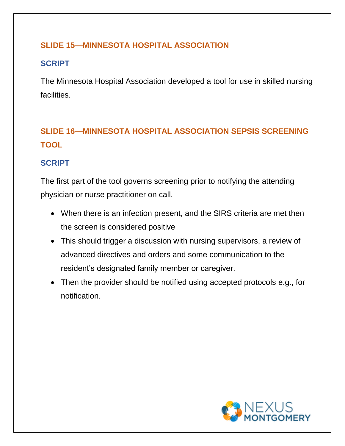#### **SLIDE 15—MINNESOTA HOSPITAL ASSOCIATION**

#### **SCRIPT**

The Minnesota Hospital Association developed a tool for use in skilled nursing facilities.

### **SLIDE 16—MINNESOTA HOSPITAL ASSOCIATION SEPSIS SCREENING TOOL**

#### **SCRIPT**

The first part of the tool governs screening prior to notifying the attending physician or nurse practitioner on call.

- When there is an infection present, and the SIRS criteria are met then the screen is considered positive
- This should trigger a discussion with nursing supervisors, a review of advanced directives and orders and some communication to the resident's designated family member or caregiver.
- Then the provider should be notified using accepted protocols e.g., for notification.

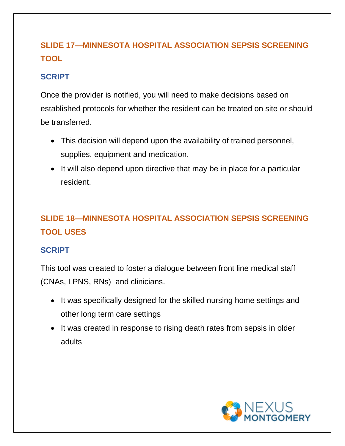### **SLIDE 17—MINNESOTA HOSPITAL ASSOCIATION SEPSIS SCREENING TOOL**

#### **SCRIPT**

Once the provider is notified, you will need to make decisions based on established protocols for whether the resident can be treated on site or should be transferred.

- This decision will depend upon the availability of trained personnel, supplies, equipment and medication.
- It will also depend upon directive that may be in place for a particular resident.

### **SLIDE 18—MINNESOTA HOSPITAL ASSOCIATION SEPSIS SCREENING TOOL USES**

#### **SCRIPT**

This tool was created to foster a dialogue between front line medical staff (CNAs, LPNS, RNs) and clinicians.

- It was specifically designed for the skilled nursing home settings and other long term care settings
- It was created in response to rising death rates from sepsis in older adults

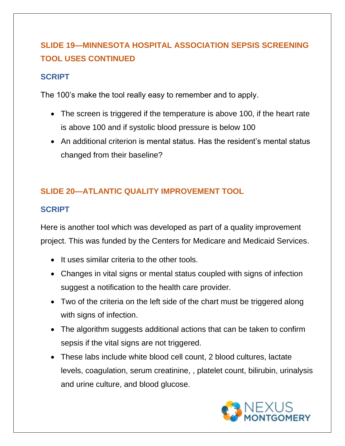### **SLIDE 19—MINNESOTA HOSPITAL ASSOCIATION SEPSIS SCREENING TOOL USES CONTINUED**

#### **SCRIPT**

The 100's make the tool really easy to remember and to apply.

- The screen is triggered if the temperature is above 100, if the heart rate is above 100 and if systolic blood pressure is below 100
- An additional criterion is mental status. Has the resident's mental status changed from their baseline?

#### **SLIDE 20—ATLANTIC QUALITY IMPROVEMENT TOOL**

#### **SCRIPT**

Here is another tool which was developed as part of a quality improvement project. This was funded by the Centers for Medicare and Medicaid Services.

- It uses similar criteria to the other tools.
- Changes in vital signs or mental status coupled with signs of infection suggest a notification to the health care provider.
- Two of the criteria on the left side of the chart must be triggered along with signs of infection.
- The algorithm suggests additional actions that can be taken to confirm sepsis if the vital signs are not triggered.
- These labs include white blood cell count, 2 blood cultures, lactate levels, coagulation, serum creatinine, , platelet count, bilirubin, urinalysis and urine culture, and blood glucose.

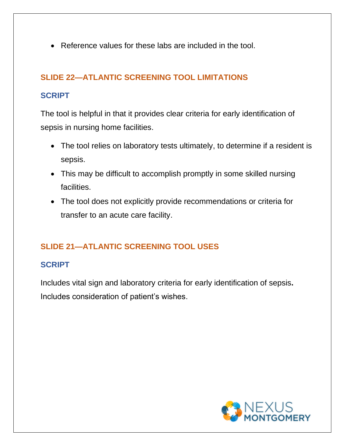• Reference values for these labs are included in the tool.

#### **SLIDE 22—ATLANTIC SCREENING TOOL LIMITATIONS**

#### **SCRIPT**

The tool is helpful in that it provides clear criteria for early identification of sepsis in nursing home facilities.

- The tool relies on laboratory tests ultimately, to determine if a resident is sepsis.
- This may be difficult to accomplish promptly in some skilled nursing facilities.
- The tool does not explicitly provide recommendations or criteria for transfer to an acute care facility.

#### **SLIDE 21—ATLANTIC SCREENING TOOL USES**

#### **SCRIPT**

Includes vital sign and laboratory criteria for early identification of sepsis**.**  Includes consideration of patient's wishes.

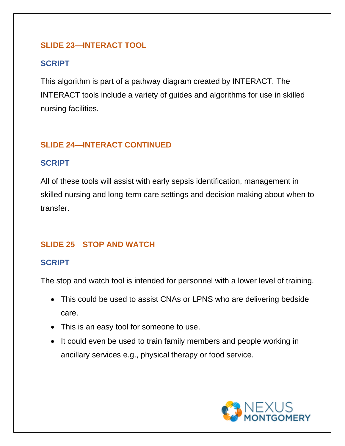#### **SLIDE 23—INTERACT TOOL**

#### **SCRIPT**

This algorithm is part of a pathway diagram created by INTERACT. The INTERACT tools include a variety of guides and algorithms for use in skilled nursing facilities.

#### **SLIDE 24—INTERACT CONTINUED**

#### **SCRIPT**

All of these tools will assist with early sepsis identification, management in skilled nursing and long-term care settings and decision making about when to transfer.

#### **SLIDE 25**—**STOP AND WATCH**

#### **SCRIPT**

The stop and watch tool is intended for personnel with a lower level of training.

- This could be used to assist CNAs or LPNS who are delivering bedside care.
- This is an easy tool for someone to use.
- It could even be used to train family members and people working in ancillary services e.g., physical therapy or food service.

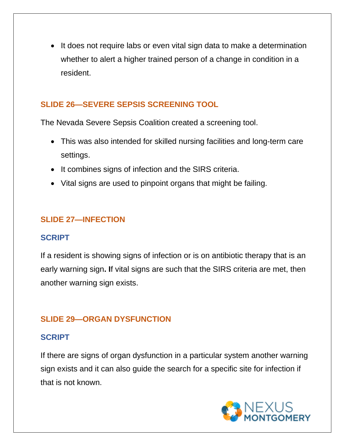• It does not require labs or even vital sign data to make a determination whether to alert a higher trained person of a change in condition in a resident.

#### **SLIDE 26—SEVERE SEPSIS SCREENING TOOL**

The Nevada Severe Sepsis Coalition created a screening tool.

- This was also intended for skilled nursing facilities and long-term care settings.
- It combines signs of infection and the SIRS criteria.
- Vital signs are used to pinpoint organs that might be failing.

#### **SLIDE 27—INFECTION**

#### **SCRIPT**

If a resident is showing signs of infection or is on antibiotic therapy that is an early warning sign**. I**f vital signs are such that the SIRS criteria are met, then another warning sign exists.

#### **SLIDE 29—ORGAN DYSFUNCTION**

#### **SCRIPT**

If there are signs of organ dysfunction in a particular system another warning sign exists and it can also guide the search for a specific site for infection if that is not known.

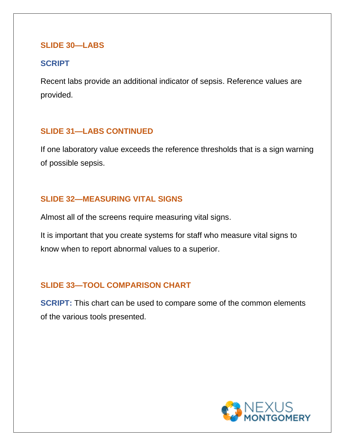#### **SLIDE 30—LABS**

#### **SCRIPT**

Recent labs provide an additional indicator of sepsis. Reference values are provided.

#### **SLIDE 31—LABS CONTINUED**

If one laboratory value exceeds the reference thresholds that is a sign warning of possible sepsis.

#### **SLIDE 32—MEASURING VITAL SIGNS**

Almost all of the screens require measuring vital signs.

It is important that you create systems for staff who measure vital signs to know when to report abnormal values to a superior.

#### **SLIDE 33—TOOL COMPARISON CHART**

**SCRIPT:** This chart can be used to compare some of the common elements of the various tools presented.

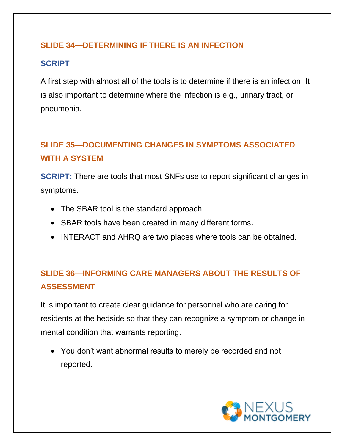#### **SLIDE 34—DETERMINING IF THERE IS AN INFECTION**

#### **SCRIPT**

A first step with almost all of the tools is to determine if there is an infection. It is also important to determine where the infection is e.g., urinary tract, or pneumonia.

### **SLIDE 35—DOCUMENTING CHANGES IN SYMPTOMS ASSOCIATED WITH A SYSTEM**

**SCRIPT:** There are tools that most SNFs use to report significant changes in symptoms.

- The SBAR tool is the standard approach.
- SBAR tools have been created in many different forms.
- INTERACT and AHRQ are two places where tools can be obtained.

### **SLIDE 36—INFORMING CARE MANAGERS ABOUT THE RESULTS OF ASSESSMENT**

It is important to create clear guidance for personnel who are caring for residents at the bedside so that they can recognize a symptom or change in mental condition that warrants reporting.

• You don't want abnormal results to merely be recorded and not reported.

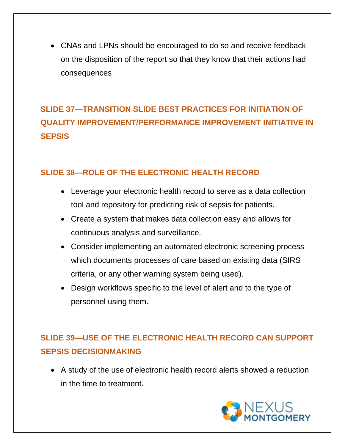• CNAs and LPNs should be encouraged to do so and receive feedback on the disposition of the report so that they know that their actions had consequences

### **SLIDE 37—TRANSITION SLIDE BEST PRACTICES FOR INITIATION OF QUALITY IMPROVEMENT/PERFORMANCE IMPROVEMENT INITIATIVE IN SEPSIS**

#### **SLIDE 38—ROLE OF THE ELECTRONIC HEALTH RECORD**

- Leverage your electronic health record to serve as a data collection tool and repository for predicting risk of sepsis for patients.
- Create a system that makes data collection easy and allows for continuous analysis and surveillance.
- Consider implementing an automated electronic screening process which documents processes of care based on existing data (SIRS criteria, or any other warning system being used).
- Design workflows specific to the level of alert and to the type of personnel using them.

### **SLIDE 39—USE OF THE ELECTRONIC HEALTH RECORD CAN SUPPORT SEPSIS DECISIONMAKING**

• A study of the use of electronic health record alerts showed a reduction in the time to treatment.

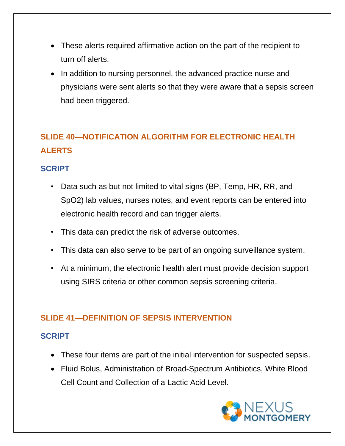- These alerts required affirmative action on the part of the recipient to turn off alerts.
- In addition to nursing personnel, the advanced practice nurse and physicians were sent alerts so that they were aware that a sepsis screen had been triggered.

## **SLIDE 40—NOTIFICATION ALGORITHM FOR ELECTRONIC HEALTH ALERTS**

#### **SCRIPT**

- Data such as but not limited to vital signs (BP, Temp, HR, RR, and SpO2) lab values, nurses notes, and event reports can be entered into electronic health record and can trigger alerts.
- This data can predict the risk of adverse outcomes.
- This data can also serve to be part of an ongoing surveillance system.
- At a minimum, the electronic health alert must provide decision support using SIRS criteria or other common sepsis screening criteria.

#### **SLIDE 41—DEFINITION OF SEPSIS INTERVENTION**

- These four items are part of the initial intervention for suspected sepsis.
- Fluid Bolus, Administration of Broad-Spectrum Antibiotics, White Blood Cell Count and Collection of a Lactic Acid Level.

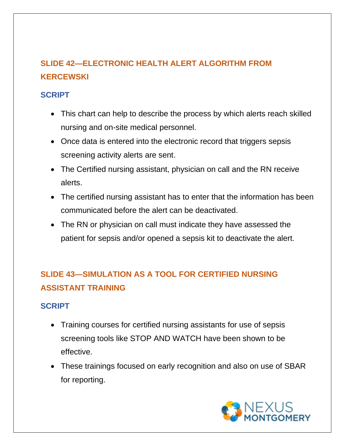### **SLIDE 42—ELECTRONIC HEALTH ALERT ALGORITHM FROM KERCEWSKI**

#### **SCRIPT**

- This chart can help to describe the process by which alerts reach skilled nursing and on-site medical personnel.
- Once data is entered into the electronic record that triggers sepsis screening activity alerts are sent.
- The Certified nursing assistant, physician on call and the RN receive alerts.
- The certified nursing assistant has to enter that the information has been communicated before the alert can be deactivated.
- The RN or physician on call must indicate they have assessed the patient for sepsis and/or opened a sepsis kit to deactivate the alert.

### **SLIDE 43—SIMULATION AS A TOOL FOR CERTIFIED NURSING ASSISTANT TRAINING**

- Training courses for certified nursing assistants for use of sepsis screening tools like STOP AND WATCH have been shown to be effective.
- These trainings focused on early recognition and also on use of SBAR for reporting.

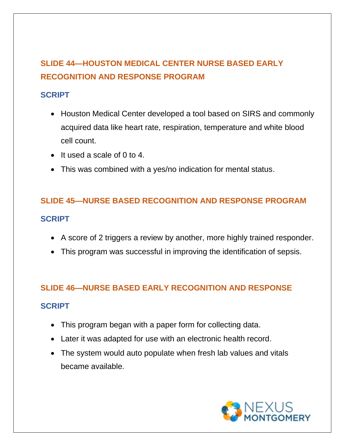### **SLIDE 44—HOUSTON MEDICAL CENTER NURSE BASED EARLY RECOGNITION AND RESPONSE PROGRAM**

#### **SCRIPT**

- Houston Medical Center developed a tool based on SIRS and commonly acquired data like heart rate, respiration, temperature and white blood cell count.
- It used a scale of 0 to 4.
- This was combined with a yes/no indication for mental status.

# **SLIDE 45—NURSE BASED RECOGNITION AND RESPONSE PROGRAM SCRIPT**

- A score of 2 triggers a review by another, more highly trained responder.
- This program was successful in improving the identification of sepsis.

#### **SLIDE 46—NURSE BASED EARLY RECOGNITION AND RESPONSE**

- This program began with a paper form for collecting data.
- Later it was adapted for use with an electronic health record.
- The system would auto populate when fresh lab values and vitals became available.

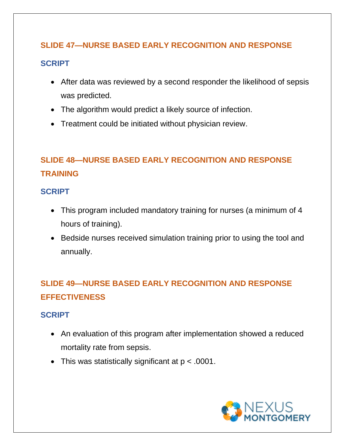# **SLIDE 47—NURSE BASED EARLY RECOGNITION AND RESPONSE SCRIPT**

- After data was reviewed by a second responder the likelihood of sepsis was predicted.
- The algorithm would predict a likely source of infection.
- Treatment could be initiated without physician review.

### **SLIDE 48—NURSE BASED EARLY RECOGNITION AND RESPONSE TRAINING**

#### **SCRIPT**

- This program included mandatory training for nurses (a minimum of 4 hours of training).
- Bedside nurses received simulation training prior to using the tool and annually.

### **SLIDE 49—NURSE BASED EARLY RECOGNITION AND RESPONSE EFFECTIVENESS**

- An evaluation of this program after implementation showed a reduced mortality rate from sepsis.
- This was statistically significant at p < .0001.

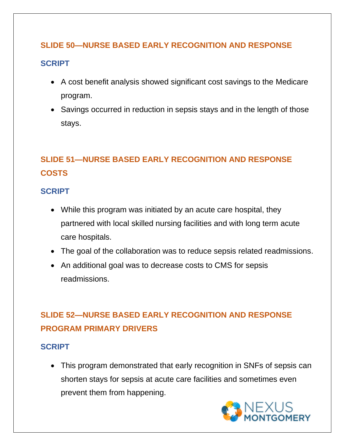#### **SLIDE 50—NURSE BASED EARLY RECOGNITION AND RESPONSE**

#### **SCRIPT**

- A cost benefit analysis showed significant cost savings to the Medicare program.
- Savings occurred in reduction in sepsis stays and in the length of those stays.

### **SLIDE 51—NURSE BASED EARLY RECOGNITION AND RESPONSE COSTS**

#### **SCRIPT**

- While this program was initiated by an acute care hospital, they partnered with local skilled nursing facilities and with long term acute care hospitals.
- The goal of the collaboration was to reduce sepsis related readmissions.
- An additional goal was to decrease costs to CMS for sepsis readmissions.

### **SLIDE 52—NURSE BASED EARLY RECOGNITION AND RESPONSE PROGRAM PRIMARY DRIVERS**

#### **SCRIPT**

• This program demonstrated that early recognition in SNFs of sepsis can shorten stays for sepsis at acute care facilities and sometimes even prevent them from happening.

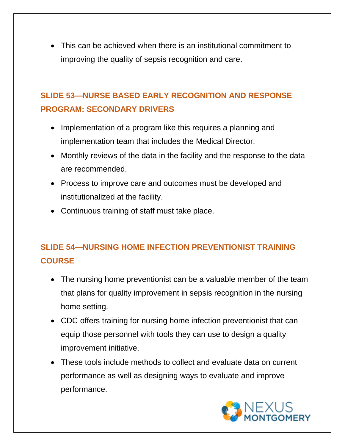• This can be achieved when there is an institutional commitment to improving the quality of sepsis recognition and care.

### **SLIDE 53—NURSE BASED EARLY RECOGNITION AND RESPONSE PROGRAM: SECONDARY DRIVERS**

- Implementation of a program like this requires a planning and implementation team that includes the Medical Director.
- Monthly reviews of the data in the facility and the response to the data are recommended.
- Process to improve care and outcomes must be developed and institutionalized at the facility.
- Continuous training of staff must take place.

### **SLIDE 54—NURSING HOME INFECTION PREVENTIONIST TRAINING COURSE**

- The nursing home preventionist can be a valuable member of the team that plans for quality improvement in sepsis recognition in the nursing home setting.
- CDC offers training for nursing home infection preventionist that can equip those personnel with tools they can use to design a quality improvement initiative.
- These tools include methods to collect and evaluate data on current performance as well as designing ways to evaluate and improve performance.